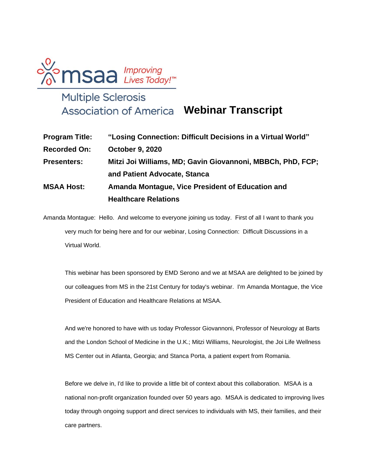

## **Webinar Transcript**

| <b>Program Title:</b> | "Losing Connection: Difficult Decisions in a Virtual World" |
|-----------------------|-------------------------------------------------------------|
| <b>Recorded On:</b>   | <b>October 9, 2020</b>                                      |
| <b>Presenters:</b>    | Mitzi Joi Williams, MD; Gavin Giovannoni, MBBCh, PhD, FCP;  |
|                       | and Patient Advocate, Stanca                                |
| <b>MSAA Host:</b>     | Amanda Montague, Vice President of Education and            |
|                       | <b>Healthcare Relations</b>                                 |

Amanda Montague: Hello. And welcome to everyone joining us today. First of all I want to thank you very much for being here and for our webinar, Losing Connection: Difficult Discussions in a Virtual World.

This webinar has been sponsored by EMD Serono and we at MSAA are delighted to be joined by our colleagues from MS in the 21st Century for today's webinar. I'm Amanda Montague, the Vice President of Education and Healthcare Relations at MSAA.

And we're honored to have with us today Professor Giovannoni, Professor of Neurology at Barts and the London School of Medicine in the U.K.; Mitzi Williams, Neurologist, the Joi Life Wellness MS Center out in Atlanta, Georgia; and Stanca Porta, a patient expert from Romania.

Before we delve in, I'd like to provide a little bit of context about this collaboration. MSAA is a national non-profit organization founded over 50 years ago. MSAA is dedicated to improving lives today through ongoing support and direct services to individuals with MS, their families, and their care partners.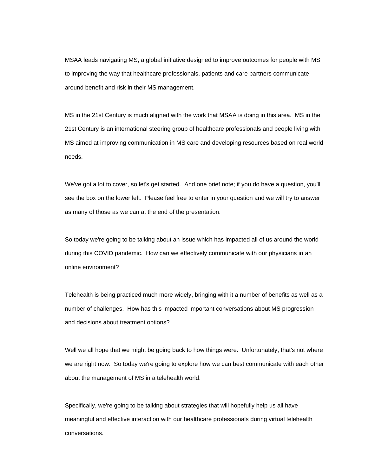MSAA leads navigating MS, a global initiative designed to improve outcomes for people with MS to improving the way that healthcare professionals, patients and care partners communicate around benefit and risk in their MS management.

MS in the 21st Century is much aligned with the work that MSAA is doing in this area. MS in the 21st Century is an international steering group of healthcare professionals and people living with MS aimed at improving communication in MS care and developing resources based on real world needs.

We've got a lot to cover, so let's get started. And one brief note; if you do have a question, you'll see the box on the lower left. Please feel free to enter in your question and we will try to answer as many of those as we can at the end of the presentation.

So today we're going to be talking about an issue which has impacted all of us around the world during this COVID pandemic. How can we effectively communicate with our physicians in an online environment?

Telehealth is being practiced much more widely, bringing with it a number of benefits as well as a number of challenges. How has this impacted important conversations about MS progression and decisions about treatment options?

Well we all hope that we might be going back to how things were. Unfortunately, that's not where we are right now. So today we're going to explore how we can best communicate with each other about the management of MS in a telehealth world.

Specifically, we're going to be talking about strategies that will hopefully help us all have meaningful and effective interaction with our healthcare professionals during virtual telehealth conversations.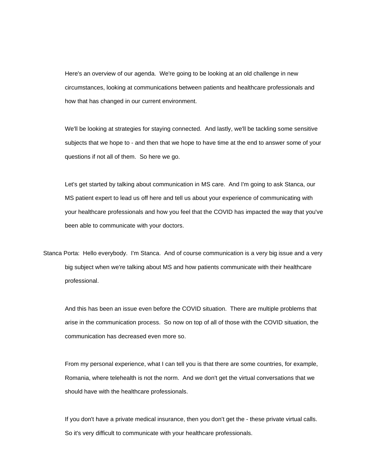Here's an overview of our agenda. We're going to be looking at an old challenge in new circumstances, looking at communications between patients and healthcare professionals and how that has changed in our current environment.

We'll be looking at strategies for staying connected. And lastly, we'll be tackling some sensitive subjects that we hope to - and then that we hope to have time at the end to answer some of your questions if not all of them. So here we go.

Let's get started by talking about communication in MS care. And I'm going to ask Stanca, our MS patient expert to lead us off here and tell us about your experience of communicating with your healthcare professionals and how you feel that the COVID has impacted the way that you've been able to communicate with your doctors.

Stanca Porta: Hello everybody. I'm Stanca. And of course communication is a very big issue and a very big subject when we're talking about MS and how patients communicate with their healthcare professional.

And this has been an issue even before the COVID situation. There are multiple problems that arise in the communication process. So now on top of all of those with the COVID situation, the communication has decreased even more so.

From my personal experience, what I can tell you is that there are some countries, for example, Romania, where telehealth is not the norm. And we don't get the virtual conversations that we should have with the healthcare professionals.

If you don't have a private medical insurance, then you don't get the - these private virtual calls. So it's very difficult to communicate with your healthcare professionals.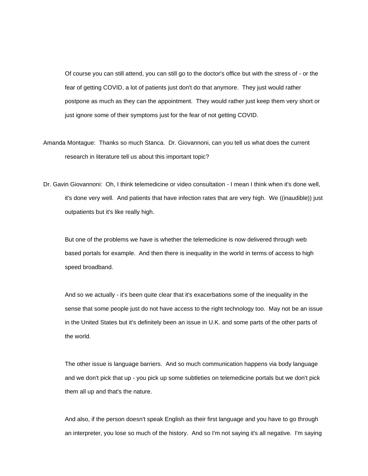Of course you can still attend, you can still go to the doctor's office but with the stress of - or the fear of getting COVID, a lot of patients just don't do that anymore. They just would rather postpone as much as they can the appointment. They would rather just keep them very short or just ignore some of their symptoms just for the fear of not getting COVID.

Amanda Montague: Thanks so much Stanca. Dr. Giovannoni, can you tell us what does the current research in literature tell us about this important topic?

Dr. Gavin Giovannoni: Oh, I think telemedicine or video consultation - I mean I think when it's done well, it's done very well. And patients that have infection rates that are very high. We ((inaudible)) just outpatients but it's like really high.

But one of the problems we have is whether the telemedicine is now delivered through web based portals for example. And then there is inequality in the world in terms of access to high speed broadband.

And so we actually - it's been quite clear that it's exacerbations some of the inequality in the sense that some people just do not have access to the right technology too. May not be an issue in the United States but it's definitely been an issue in U.K. and some parts of the other parts of the world.

The other issue is language barriers. And so much communication happens via body language and we don't pick that up - you pick up some subtleties on telemedicine portals but we don't pick them all up and that's the nature.

And also, if the person doesn't speak English as their first language and you have to go through an interpreter, you lose so much of the history. And so I'm not saying it's all negative. I'm saying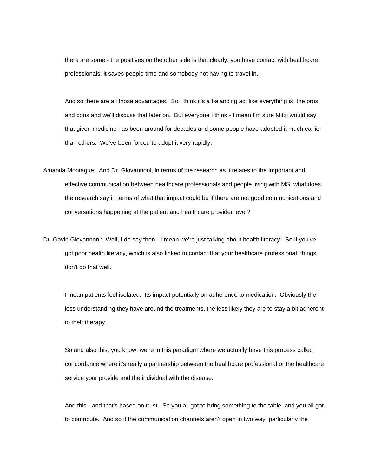there are some - the positives on the other side is that clearly, you have contact with healthcare professionals, it saves people time and somebody not having to travel in.

And so there are all those advantages. So I think it's a balancing act like everything is, the pros and cons and we'll discuss that later on. But everyone I think - I mean I'm sure Mitzi would say that given medicine has been around for decades and some people have adopted it much earlier than others. We've been forced to adopt it very rapidly.

- Amanda Montague: And Dr. Giovannoni, in terms of the research as it relates to the important and effective communication between healthcare professionals and people living with MS, what does the research say in terms of what that impact could be if there are not good communications and conversations happening at the patient and healthcare provider level?
- Dr. Gavin Giovannoni: Well, I do say then I mean we're just talking about health literacy. So if you've got poor health literacy, which is also linked to contact that your healthcare professional, things don't go that well.

I mean patients feel isolated. Its impact potentially on adherence to medication. Obviously the less understanding they have around the treatments, the less likely they are to stay a bit adherent to their therapy.

So and also this, you know, we're in this paradigm where we actually have this process called concordance where it's really a partnership between the healthcare professional or the healthcare service your provide and the individual with the disease.

And this - and that's based on trust. So you all got to bring something to the table, and you all got to contribute. And so if the communication channels aren't open in two way, particularly the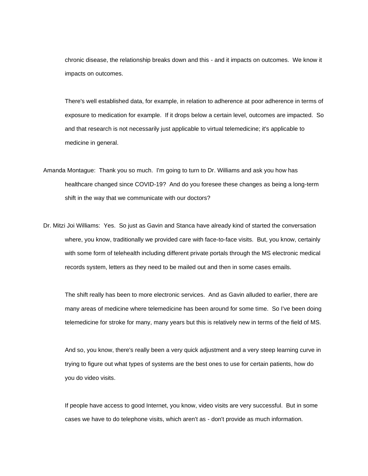chronic disease, the relationship breaks down and this - and it impacts on outcomes. We know it impacts on outcomes.

There's well established data, for example, in relation to adherence at poor adherence in terms of exposure to medication for example. If it drops below a certain level, outcomes are impacted. So and that research is not necessarily just applicable to virtual telemedicine; it's applicable to medicine in general.

- Amanda Montague: Thank you so much. I'm going to turn to Dr. Williams and ask you how has healthcare changed since COVID-19? And do you foresee these changes as being a long-term shift in the way that we communicate with our doctors?
- Dr. Mitzi Joi Williams: Yes. So just as Gavin and Stanca have already kind of started the conversation where, you know, traditionally we provided care with face-to-face visits. But, you know, certainly with some form of telehealth including different private portals through the MS electronic medical records system, letters as they need to be mailed out and then in some cases emails.

The shift really has been to more electronic services. And as Gavin alluded to earlier, there are many areas of medicine where telemedicine has been around for some time. So I've been doing telemedicine for stroke for many, many years but this is relatively new in terms of the field of MS.

And so, you know, there's really been a very quick adjustment and a very steep learning curve in trying to figure out what types of systems are the best ones to use for certain patients, how do you do video visits.

If people have access to good Internet, you know, video visits are very successful. But in some cases we have to do telephone visits, which aren't as - don't provide as much information.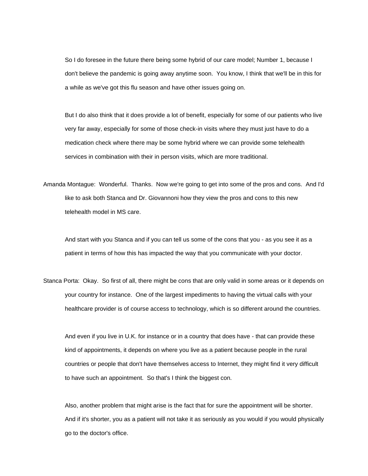So I do foresee in the future there being some hybrid of our care model; Number 1, because I don't believe the pandemic is going away anytime soon. You know, I think that we'll be in this for a while as we've got this flu season and have other issues going on.

But I do also think that it does provide a lot of benefit, especially for some of our patients who live very far away, especially for some of those check-in visits where they must just have to do a medication check where there may be some hybrid where we can provide some telehealth services in combination with their in person visits, which are more traditional.

Amanda Montague: Wonderful. Thanks. Now we're going to get into some of the pros and cons. And I'd like to ask both Stanca and Dr. Giovannoni how they view the pros and cons to this new telehealth model in MS care.

And start with you Stanca and if you can tell us some of the cons that you - as you see it as a patient in terms of how this has impacted the way that you communicate with your doctor.

Stanca Porta: Okay. So first of all, there might be cons that are only valid in some areas or it depends on your country for instance. One of the largest impediments to having the virtual calls with your healthcare provider is of course access to technology, which is so different around the countries.

And even if you live in U.K. for instance or in a country that does have - that can provide these kind of appointments, it depends on where you live as a patient because people in the rural countries or people that don't have themselves access to Internet, they might find it very difficult to have such an appointment. So that's I think the biggest con.

Also, another problem that might arise is the fact that for sure the appointment will be shorter. And if it's shorter, you as a patient will not take it as seriously as you would if you would physically go to the doctor's office.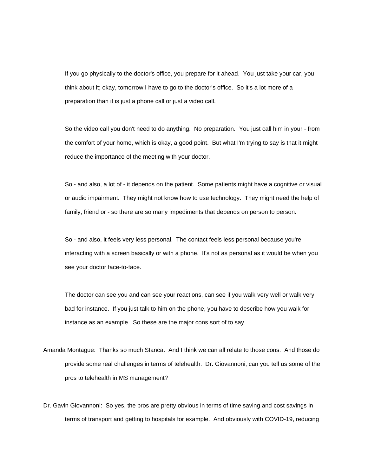If you go physically to the doctor's office, you prepare for it ahead. You just take your car, you think about it; okay, tomorrow I have to go to the doctor's office. So it's a lot more of a preparation than it is just a phone call or just a video call.

So the video call you don't need to do anything. No preparation. You just call him in your - from the comfort of your home, which is okay, a good point. But what I'm trying to say is that it might reduce the importance of the meeting with your doctor.

So - and also, a lot of - it depends on the patient. Some patients might have a cognitive or visual or audio impairment. They might not know how to use technology. They might need the help of family, friend or - so there are so many impediments that depends on person to person.

So - and also, it feels very less personal. The contact feels less personal because you're interacting with a screen basically or with a phone. It's not as personal as it would be when you see your doctor face-to-face.

The doctor can see you and can see your reactions, can see if you walk very well or walk very bad for instance. If you just talk to him on the phone, you have to describe how you walk for instance as an example. So these are the major cons sort of to say.

- Amanda Montague: Thanks so much Stanca. And I think we can all relate to those cons. And those do provide some real challenges in terms of telehealth. Dr. Giovannoni, can you tell us some of the pros to telehealth in MS management?
- Dr. Gavin Giovannoni: So yes, the pros are pretty obvious in terms of time saving and cost savings in terms of transport and getting to hospitals for example. And obviously with COVID-19, reducing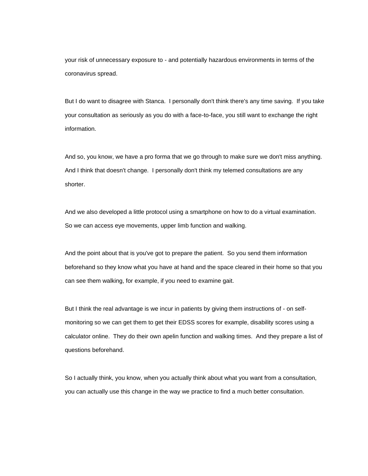your risk of unnecessary exposure to - and potentially hazardous environments in terms of the coronavirus spread.

But I do want to disagree with Stanca. I personally don't think there's any time saving. If you take your consultation as seriously as you do with a face-to-face, you still want to exchange the right information.

And so, you know, we have a pro forma that we go through to make sure we don't miss anything. And I think that doesn't change. I personally don't think my telemed consultations are any shorter.

And we also developed a little protocol using a smartphone on how to do a virtual examination. So we can access eye movements, upper limb function and walking.

And the point about that is you've got to prepare the patient. So you send them information beforehand so they know what you have at hand and the space cleared in their home so that you can see them walking, for example, if you need to examine gait.

But I think the real advantage is we incur in patients by giving them instructions of - on selfmonitoring so we can get them to get their EDSS scores for example, disability scores using a calculator online. They do their own apelin function and walking times. And they prepare a list of questions beforehand.

So I actually think, you know, when you actually think about what you want from a consultation, you can actually use this change in the way we practice to find a much better consultation.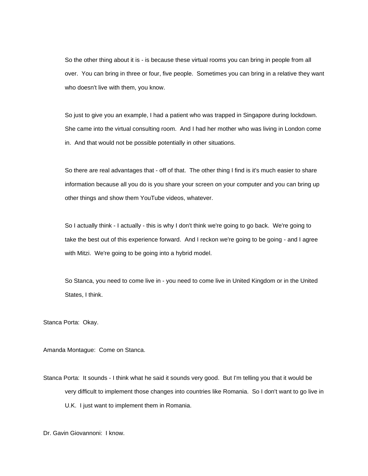So the other thing about it is - is because these virtual rooms you can bring in people from all over. You can bring in three or four, five people. Sometimes you can bring in a relative they want who doesn't live with them, you know.

So just to give you an example, I had a patient who was trapped in Singapore during lockdown. She came into the virtual consulting room. And I had her mother who was living in London come in. And that would not be possible potentially in other situations.

So there are real advantages that - off of that. The other thing I find is it's much easier to share information because all you do is you share your screen on your computer and you can bring up other things and show them YouTube videos, whatever.

So I actually think - I actually - this is why I don't think we're going to go back. We're going to take the best out of this experience forward. And I reckon we're going to be going - and I agree with Mitzi. We're going to be going into a hybrid model.

So Stanca, you need to come live in - you need to come live in United Kingdom or in the United States, I think.

Stanca Porta: Okay.

Amanda Montague: Come on Stanca.

Stanca Porta: It sounds - I think what he said it sounds very good. But I'm telling you that it would be very difficult to implement those changes into countries like Romania. So I don't want to go live in U.K. I just want to implement them in Romania.

Dr. Gavin Giovannoni: I know.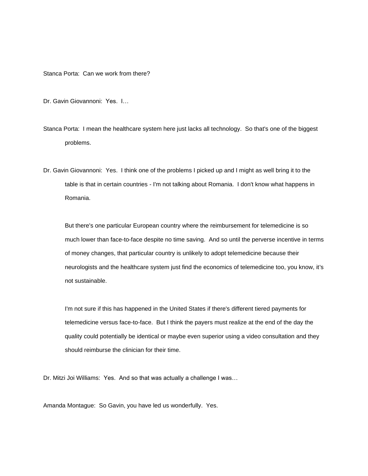Stanca Porta: Can we work from there?

Dr. Gavin Giovannoni: Yes. I…

Stanca Porta: I mean the healthcare system here just lacks all technology. So that's one of the biggest problems.

Dr. Gavin Giovannoni: Yes. I think one of the problems I picked up and I might as well bring it to the table is that in certain countries - I'm not talking about Romania. I don't know what happens in Romania.

But there's one particular European country where the reimbursement for telemedicine is so much lower than face-to-face despite no time saving. And so until the perverse incentive in terms of money changes, that particular country is unlikely to adopt telemedicine because their neurologists and the healthcare system just find the economics of telemedicine too, you know, it's not sustainable.

I'm not sure if this has happened in the United States if there's different tiered payments for telemedicine versus face-to-face. But I think the payers must realize at the end of the day the quality could potentially be identical or maybe even superior using a video consultation and they should reimburse the clinician for their time.

Dr. Mitzi Joi Williams: Yes. And so that was actually a challenge I was…

Amanda Montague: So Gavin, you have led us wonderfully. Yes.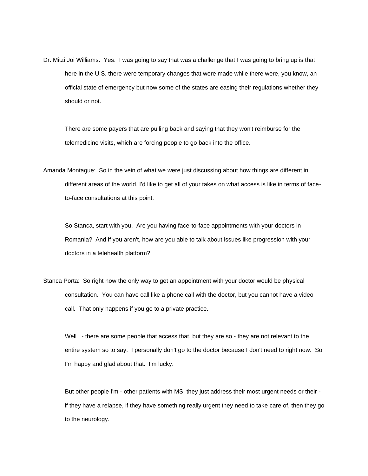Dr. Mitzi Joi Williams: Yes. I was going to say that was a challenge that I was going to bring up is that here in the U.S. there were temporary changes that were made while there were, you know, an official state of emergency but now some of the states are easing their regulations whether they should or not.

There are some payers that are pulling back and saying that they won't reimburse for the telemedicine visits, which are forcing people to go back into the office.

Amanda Montague: So in the vein of what we were just discussing about how things are different in different areas of the world, I'd like to get all of your takes on what access is like in terms of faceto-face consultations at this point.

So Stanca, start with you. Are you having face-to-face appointments with your doctors in Romania? And if you aren't, how are you able to talk about issues like progression with your doctors in a telehealth platform?

Stanca Porta: So right now the only way to get an appointment with your doctor would be physical consultation. You can have call like a phone call with the doctor, but you cannot have a video call. That only happens if you go to a private practice.

Well I - there are some people that access that, but they are so - they are not relevant to the entire system so to say. I personally don't go to the doctor because I don't need to right now. So I'm happy and glad about that. I'm lucky.

But other people I'm - other patients with MS, they just address their most urgent needs or their if they have a relapse, if they have something really urgent they need to take care of, then they go to the neurology.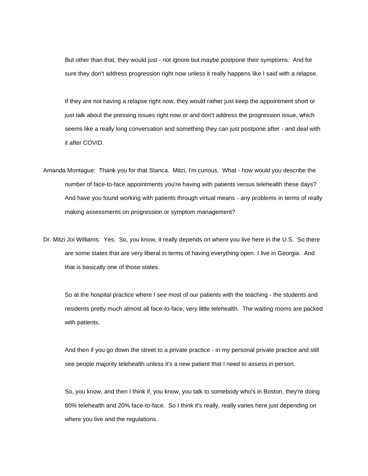But other than that, they would just - not ignore but maybe postpone their symptoms. And for sure they don't address progression right now unless it really happens like I said with a relapse.

If they are not having a relapse right now, they would rather just keep the appointment short or just talk about the pressing issues right now or and don't address the progression issue, which seems like a really long conversation and something they can just postpone after - and deal with it after COVID.

Amanda Montague: Thank you for that Stanca. Mitzi, I'm curious. What - how would you describe the number of face-to-face appointments you're having with patients versus telehealth these days? And have you found working with patients through virtual means - any problems in terms of really making assessments on progression or symptom management?

Dr. Mitzi Joi Williams: Yes. So, you know, it really depends on where you live here in the U.S. So there are some states that are very liberal in terms of having everything open. I live in Georgia. And that is basically one of those states.

So at the hospital practice where I see most of our patients with the teaching - the students and residents pretty much almost all face-to-face, very little telehealth. The waiting rooms are packed with patients.

And then if you go down the street to a private practice - in my personal private practice and still see people majority telehealth unless it's a new patient that I need to assess in person.

So, you know, and then I think if, you know, you talk to somebody who's in Boston, they're doing 80% telehealth and 20% face-to-face. So I think it's really, really varies here just depending on where you live and the regulations.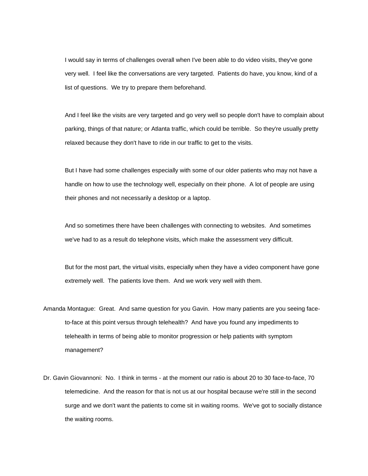I would say in terms of challenges overall when I've been able to do video visits, they've gone very well. I feel like the conversations are very targeted. Patients do have, you know, kind of a list of questions. We try to prepare them beforehand.

And I feel like the visits are very targeted and go very well so people don't have to complain about parking, things of that nature; or Atlanta traffic, which could be terrible. So they're usually pretty relaxed because they don't have to ride in our traffic to get to the visits.

But I have had some challenges especially with some of our older patients who may not have a handle on how to use the technology well, especially on their phone. A lot of people are using their phones and not necessarily a desktop or a laptop.

And so sometimes there have been challenges with connecting to websites. And sometimes we've had to as a result do telephone visits, which make the assessment very difficult.

But for the most part, the virtual visits, especially when they have a video component have gone extremely well. The patients love them. And we work very well with them.

- Amanda Montague: Great. And same question for you Gavin. How many patients are you seeing faceto-face at this point versus through telehealth? And have you found any impediments to telehealth in terms of being able to monitor progression or help patients with symptom management?
- Dr. Gavin Giovannoni: No. I think in terms at the moment our ratio is about 20 to 30 face-to-face, 70 telemedicine. And the reason for that is not us at our hospital because we're still in the second surge and we don't want the patients to come sit in waiting rooms. We've got to socially distance the waiting rooms.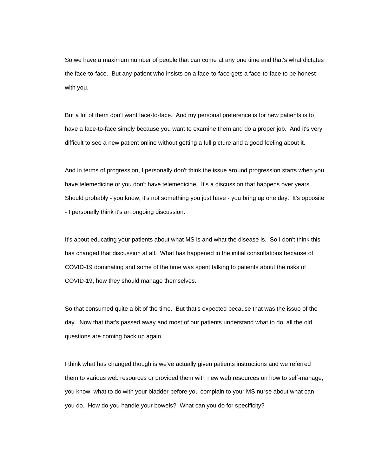So we have a maximum number of people that can come at any one time and that's what dictates the face-to-face. But any patient who insists on a face-to-face gets a face-to-face to be honest with you.

But a lot of them don't want face-to-face. And my personal preference is for new patients is to have a face-to-face simply because you want to examine them and do a proper job. And it's very difficult to see a new patient online without getting a full picture and a good feeling about it.

And in terms of progression, I personally don't think the issue around progression starts when you have telemedicine or you don't have telemedicine. It's a discussion that happens over years. Should probably - you know, it's not something you just have - you bring up one day. It's opposite - I personally think it's an ongoing discussion.

It's about educating your patients about what MS is and what the disease is. So I don't think this has changed that discussion at all. What has happened in the initial consultations because of COVID-19 dominating and some of the time was spent talking to patients about the risks of COVID-19, how they should manage themselves.

So that consumed quite a bit of the time. But that's expected because that was the issue of the day. Now that that's passed away and most of our patients understand what to do, all the old questions are coming back up again.

I think what has changed though is we've actually given patients instructions and we referred them to various web resources or provided them with new web resources on how to self-manage, you know, what to do with your bladder before you complain to your MS nurse about what can you do. How do you handle your bowels? What can you do for specificity?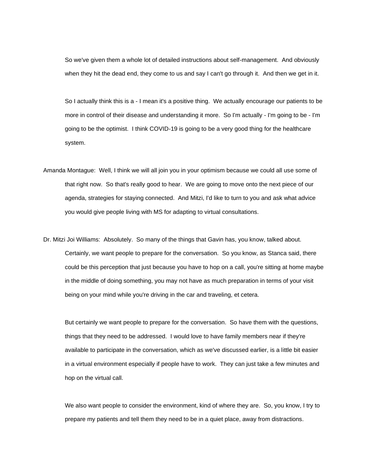So we've given them a whole lot of detailed instructions about self-management. And obviously when they hit the dead end, they come to us and say I can't go through it. And then we get in it.

So I actually think this is a - I mean it's a positive thing. We actually encourage our patients to be more in control of their disease and understanding it more. So I'm actually - I'm going to be - I'm going to be the optimist. I think COVID-19 is going to be a very good thing for the healthcare system.

- Amanda Montague: Well, I think we will all join you in your optimism because we could all use some of that right now. So that's really good to hear. We are going to move onto the next piece of our agenda, strategies for staying connected. And Mitzi, I'd like to turn to you and ask what advice you would give people living with MS for adapting to virtual consultations.
- Dr. Mitzi Joi Williams: Absolutely. So many of the things that Gavin has, you know, talked about. Certainly, we want people to prepare for the conversation. So you know, as Stanca said, there could be this perception that just because you have to hop on a call, you're sitting at home maybe in the middle of doing something, you may not have as much preparation in terms of your visit being on your mind while you're driving in the car and traveling, et cetera.

But certainly we want people to prepare for the conversation. So have them with the questions, things that they need to be addressed. I would love to have family members near if they're available to participate in the conversation, which as we've discussed earlier, is a little bit easier in a virtual environment especially if people have to work. They can just take a few minutes and hop on the virtual call.

We also want people to consider the environment, kind of where they are. So, you know, I try to prepare my patients and tell them they need to be in a quiet place, away from distractions.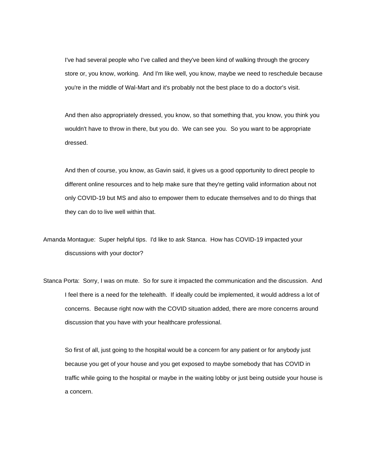I've had several people who I've called and they've been kind of walking through the grocery store or, you know, working. And I'm like well, you know, maybe we need to reschedule because you're in the middle of Wal-Mart and it's probably not the best place to do a doctor's visit.

And then also appropriately dressed, you know, so that something that, you know, you think you wouldn't have to throw in there, but you do. We can see you. So you want to be appropriate dressed.

And then of course, you know, as Gavin said, it gives us a good opportunity to direct people to different online resources and to help make sure that they're getting valid information about not only COVID-19 but MS and also to empower them to educate themselves and to do things that they can do to live well within that.

Amanda Montague: Super helpful tips. I'd like to ask Stanca. How has COVID-19 impacted your discussions with your doctor?

Stanca Porta: Sorry, I was on mute. So for sure it impacted the communication and the discussion. And I feel there is a need for the telehealth. If ideally could be implemented, it would address a lot of concerns. Because right now with the COVID situation added, there are more concerns around discussion that you have with your healthcare professional.

So first of all, just going to the hospital would be a concern for any patient or for anybody just because you get of your house and you get exposed to maybe somebody that has COVID in traffic while going to the hospital or maybe in the waiting lobby or just being outside your house is a concern.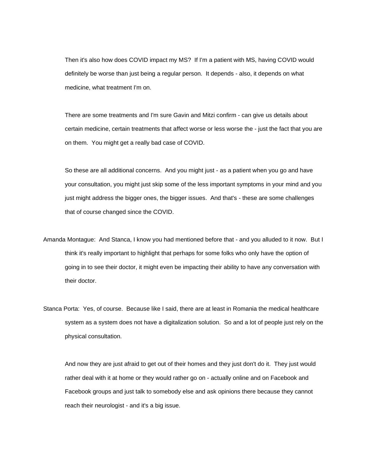Then it's also how does COVID impact my MS? If I'm a patient with MS, having COVID would definitely be worse than just being a regular person. It depends - also, it depends on what medicine, what treatment I'm on.

There are some treatments and I'm sure Gavin and Mitzi confirm - can give us details about certain medicine, certain treatments that affect worse or less worse the - just the fact that you are on them. You might get a really bad case of COVID.

So these are all additional concerns. And you might just - as a patient when you go and have your consultation, you might just skip some of the less important symptoms in your mind and you just might address the bigger ones, the bigger issues. And that's - these are some challenges that of course changed since the COVID.

- Amanda Montague: And Stanca, I know you had mentioned before that and you alluded to it now. But I think it's really important to highlight that perhaps for some folks who only have the option of going in to see their doctor, it might even be impacting their ability to have any conversation with their doctor.
- Stanca Porta: Yes, of course. Because like I said, there are at least in Romania the medical healthcare system as a system does not have a digitalization solution. So and a lot of people just rely on the physical consultation.

And now they are just afraid to get out of their homes and they just don't do it. They just would rather deal with it at home or they would rather go on - actually online and on Facebook and Facebook groups and just talk to somebody else and ask opinions there because they cannot reach their neurologist - and it's a big issue.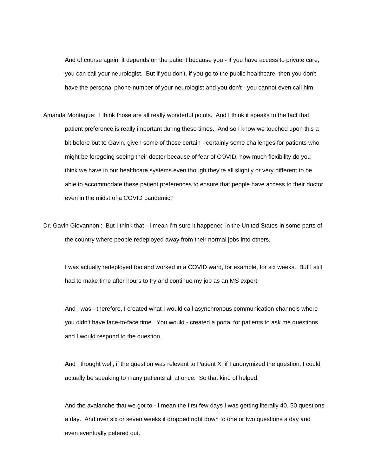And of course again, it depends on the patient because you - if you have access to private care, you can call your neurologist. But if you don't, if you go to the public healthcare, then you don't have the personal phone number of your neurologist and you don't - you cannot even call him.

- Amanda Montague: I think those are all really wonderful points. And I think it speaks to the fact that patient preference is really important during these times. And so I know we touched upon this a bit before but to Gavin, given some of those certain - certainly some challenges for patients who might be foregoing seeing their doctor because of fear of COVID, how much flexibility do you think we have in our healthcare systems even though they're all slightly or very different to be able to accommodate these patient preferences to ensure that people have access to their doctor even in the midst of a COVID pandemic?
- Dr. Gavin Giovannoni: But I think that I mean I'm sure it happened in the United States in some parts of the country where people redeployed away from their normal jobs into others.

I was actually redeployed too and worked in a COVID ward, for example, for six weeks. But I still had to make time after hours to try and continue my job as an MS expert.

And I was - therefore, I created what I would call asynchronous communication channels where you didn't have face-to-face time. You would - created a portal for patients to ask me questions and I would respond to the question.

And I thought well, if the question was relevant to Patient X, if I anonymized the question, I could actually be speaking to many patients all at once. So that kind of helped.

And the avalanche that we got to - I mean the first few days I was getting literally 40, 50 questions a day. And over six or seven weeks it dropped right down to one or two questions a day and even eventually petered out.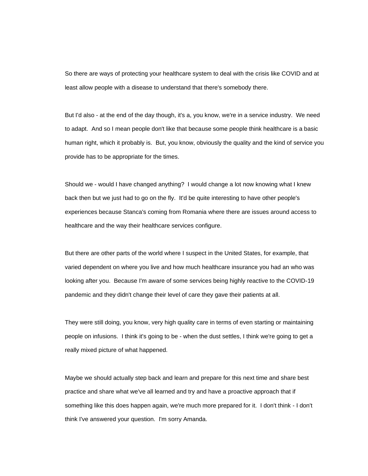So there are ways of protecting your healthcare system to deal with the crisis like COVID and at least allow people with a disease to understand that there's somebody there.

But I'd also - at the end of the day though, it's a, you know, we're in a service industry. We need to adapt. And so I mean people don't like that because some people think healthcare is a basic human right, which it probably is. But, you know, obviously the quality and the kind of service you provide has to be appropriate for the times.

Should we - would I have changed anything? I would change a lot now knowing what I knew back then but we just had to go on the fly. It'd be quite interesting to have other people's experiences because Stanca's coming from Romania where there are issues around access to healthcare and the way their healthcare services configure.

But there are other parts of the world where I suspect in the United States, for example, that varied dependent on where you live and how much healthcare insurance you had an who was looking after you. Because I'm aware of some services being highly reactive to the COVID-19 pandemic and they didn't change their level of care they gave their patients at all.

They were still doing, you know, very high quality care in terms of even starting or maintaining people on infusions. I think it's going to be - when the dust settles, I think we're going to get a really mixed picture of what happened.

Maybe we should actually step back and learn and prepare for this next time and share best practice and share what we've all learned and try and have a proactive approach that if something like this does happen again, we're much more prepared for it. I don't think - I don't think I've answered your question. I'm sorry Amanda.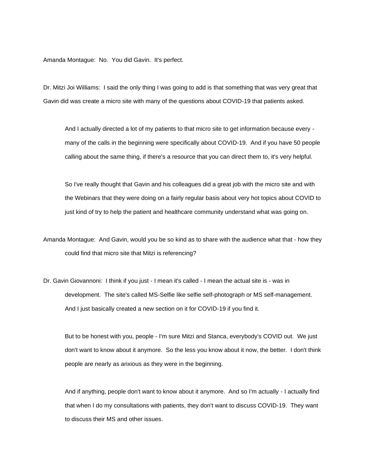Amanda Montague: No. You did Gavin. It's perfect.

Dr. Mitzi Joi Williams: I said the only thing I was going to add is that something that was very great that Gavin did was create a micro site with many of the questions about COVID-19 that patients asked.

And I actually directed a lot of my patients to that micro site to get information because every many of the calls in the beginning were specifically about COVID-19. And if you have 50 people calling about the same thing, if there's a resource that you can direct them to, it's very helpful.

So I've really thought that Gavin and his colleagues did a great job with the micro site and with the Webinars that they were doing on a fairly regular basis about very hot topics about COVID to just kind of try to help the patient and healthcare community understand what was going on.

Amanda Montague: And Gavin, would you be so kind as to share with the audience what that - how they could find that micro site that Mitzi is referencing?

Dr. Gavin Giovannoni: I think if you just - I mean it's called - I mean the actual site is - was in development. The site's called MS-Selfie like selfie self-photograph or MS self-management. And I just basically created a new section on it for COVID-19 if you find it.

But to be honest with you, people - I'm sure Mitzi and Stanca, everybody's COVID out. We just don't want to know about it anymore. So the less you know about it now, the better. I don't think people are nearly as anxious as they were in the beginning.

And if anything, people don't want to know about it anymore. And so I'm actually - I actually find that when I do my consultations with patients, they don't want to discuss COVID-19. They want to discuss their MS and other issues.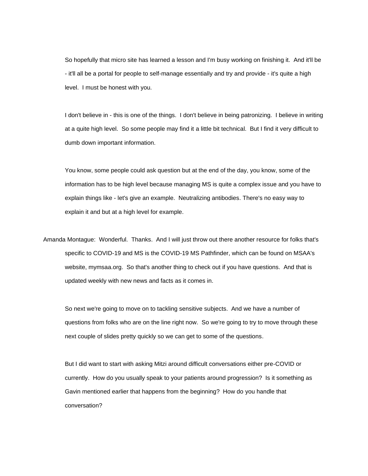So hopefully that micro site has learned a lesson and I'm busy working on finishing it. And it'll be - it'll all be a portal for people to self-manage essentially and try and provide - it's quite a high level. I must be honest with you.

I don't believe in - this is one of the things. I don't believe in being patronizing. I believe in writing at a quite high level. So some people may find it a little bit technical. But I find it very difficult to dumb down important information.

You know, some people could ask question but at the end of the day, you know, some of the information has to be high level because managing MS is quite a complex issue and you have to explain things like - let's give an example. Neutralizing antibodies. There's no easy way to explain it and but at a high level for example.

Amanda Montague: Wonderful. Thanks. And I will just throw out there another resource for folks that's specific to COVID-19 and MS is the COVID-19 MS Pathfinder, which can be found on MSAA's website, mymsaa.org. So that's another thing to check out if you have questions. And that is updated weekly with new news and facts as it comes in.

So next we're going to move on to tackling sensitive subjects. And we have a number of questions from folks who are on the line right now. So we're going to try to move through these next couple of slides pretty quickly so we can get to some of the questions.

But I did want to start with asking Mitzi around difficult conversations either pre-COVID or currently. How do you usually speak to your patients around progression? Is it something as Gavin mentioned earlier that happens from the beginning? How do you handle that conversation?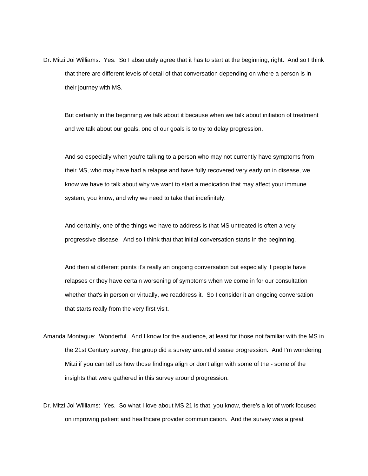Dr. Mitzi Joi Williams: Yes. So I absolutely agree that it has to start at the beginning, right. And so I think that there are different levels of detail of that conversation depending on where a person is in their journey with MS.

But certainly in the beginning we talk about it because when we talk about initiation of treatment and we talk about our goals, one of our goals is to try to delay progression.

And so especially when you're talking to a person who may not currently have symptoms from their MS, who may have had a relapse and have fully recovered very early on in disease, we know we have to talk about why we want to start a medication that may affect your immune system, you know, and why we need to take that indefinitely.

And certainly, one of the things we have to address is that MS untreated is often a very progressive disease. And so I think that that initial conversation starts in the beginning.

And then at different points it's really an ongoing conversation but especially if people have relapses or they have certain worsening of symptoms when we come in for our consultation whether that's in person or virtually, we readdress it. So I consider it an ongoing conversation that starts really from the very first visit.

- Amanda Montague: Wonderful. And I know for the audience, at least for those not familiar with the MS in the 21st Century survey, the group did a survey around disease progression. And I'm wondering Mitzi if you can tell us how those findings align or don't align with some of the - some of the insights that were gathered in this survey around progression.
- Dr. Mitzi Joi Williams: Yes. So what I love about MS 21 is that, you know, there's a lot of work focused on improving patient and healthcare provider communication. And the survey was a great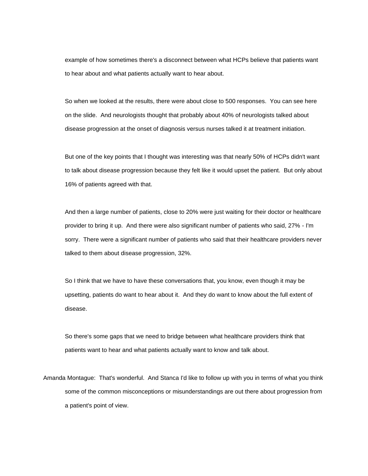example of how sometimes there's a disconnect between what HCPs believe that patients want to hear about and what patients actually want to hear about.

So when we looked at the results, there were about close to 500 responses. You can see here on the slide. And neurologists thought that probably about 40% of neurologists talked about disease progression at the onset of diagnosis versus nurses talked it at treatment initiation.

But one of the key points that I thought was interesting was that nearly 50% of HCPs didn't want to talk about disease progression because they felt like it would upset the patient. But only about 16% of patients agreed with that.

And then a large number of patients, close to 20% were just waiting for their doctor or healthcare provider to bring it up. And there were also significant number of patients who said, 27% - I'm sorry. There were a significant number of patients who said that their healthcare providers never talked to them about disease progression, 32%.

So I think that we have to have these conversations that, you know, even though it may be upsetting, patients do want to hear about it. And they do want to know about the full extent of disease.

So there's some gaps that we need to bridge between what healthcare providers think that patients want to hear and what patients actually want to know and talk about.

Amanda Montague: That's wonderful. And Stanca I'd like to follow up with you in terms of what you think some of the common misconceptions or misunderstandings are out there about progression from a patient's point of view.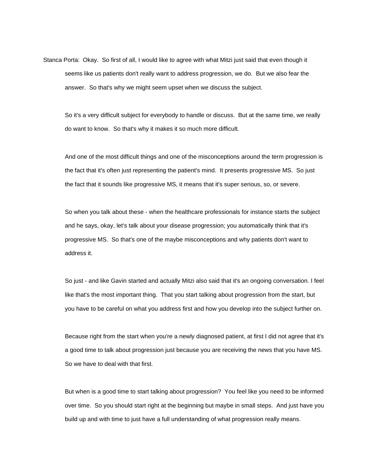Stanca Porta: Okay. So first of all, I would like to agree with what Mitzi just said that even though it seems like us patients don't really want to address progression, we do. But we also fear the answer. So that's why we might seem upset when we discuss the subject.

So it's a very difficult subject for everybody to handle or discuss. But at the same time, we really do want to know. So that's why it makes it so much more difficult.

And one of the most difficult things and one of the misconceptions around the term progression is the fact that it's often just representing the patient's mind. It presents progressive MS. So just the fact that it sounds like progressive MS, it means that it's super serious, so, or severe.

So when you talk about these - when the healthcare professionals for instance starts the subject and he says, okay, let's talk about your disease progression; you automatically think that it's progressive MS. So that's one of the maybe misconceptions and why patients don't want to address it.

So just - and like Gavin started and actually Mitzi also said that it's an ongoing conversation. I feel like that's the most important thing. That you start talking about progression from the start, but you have to be careful on what you address first and how you develop into the subject further on.

Because right from the start when you're a newly diagnosed patient, at first I did not agree that it's a good time to talk about progression just because you are receiving the news that you have MS. So we have to deal with that first.

But when is a good time to start talking about progression? You feel like you need to be informed over time. So you should start right at the beginning but maybe in small steps. And just have you build up and with time to just have a full understanding of what progression really means.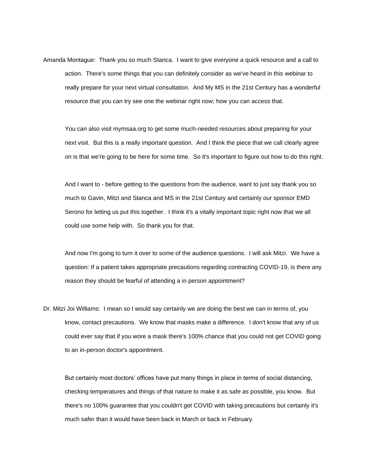Amanda Montague: Thank you so much Stanca. I want to give everyone a quick resource and a call to action. There's some things that you can definitely consider as we've heard in this webinar to really prepare for your next virtual consultation. And My MS in the 21st Century has a wonderful resource that you can try see one the webinar right now; how you can access that.

You can also visit mymsaa.org to get some much-needed resources about preparing for your next visit. But this is a really important question. And I think the piece that we call clearly agree on is that we're going to be here for some time. So it's important to figure out how to do this right.

And I want to - before getting to the questions from the audience, want to just say thank you so much to Gavin, Mitzi and Stanca and MS in the 21st Century and certainly our sponsor EMD Serono for letting us put this together. I think it's a vitally important topic right now that we all could use some help with. So thank you for that.

And now I'm going to turn it over to some of the audience questions. I will ask Mitzi. We have a question: If a patient takes appropriate precautions regarding contracting COVID-19, is there any reason they should be fearful of attending a in person appointment?

Dr. Mitzi Joi Williams: I mean so I would say certainly we are doing the best we can in terms of, you know, contact precautions. We know that masks make a difference. I don't know that any of us could ever say that if you wore a mask there's 100% chance that you could not get COVID going to an in-person doctor's appointment.

But certainly most doctors' offices have put many things in place in terms of social distancing, checking temperatures and things of that nature to make it as safe as possible, you know. But there's no 100% guarantee that you couldn't get COVID with taking precautions but certainly it's much safer than it would have been back in March or back in February.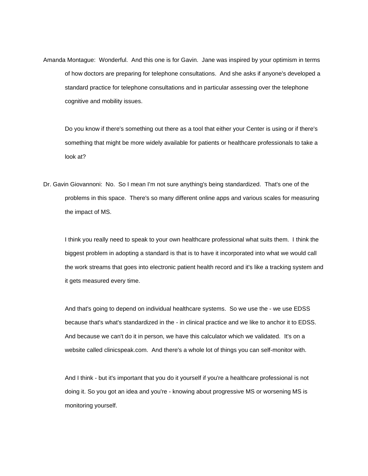Amanda Montague: Wonderful. And this one is for Gavin. Jane was inspired by your optimism in terms of how doctors are preparing for telephone consultations. And she asks if anyone's developed a standard practice for telephone consultations and in particular assessing over the telephone cognitive and mobility issues.

Do you know if there's something out there as a tool that either your Center is using or if there's something that might be more widely available for patients or healthcare professionals to take a look at?

Dr. Gavin Giovannoni: No. So I mean I'm not sure anything's being standardized. That's one of the problems in this space. There's so many different online apps and various scales for measuring the impact of MS.

I think you really need to speak to your own healthcare professional what suits them. I think the biggest problem in adopting a standard is that is to have it incorporated into what we would call the work streams that goes into electronic patient health record and it's like a tracking system and it gets measured every time.

And that's going to depend on individual healthcare systems. So we use the - we use EDSS because that's what's standardized in the - in clinical practice and we like to anchor it to EDSS. And because we can't do it in person, we have this calculator which we validated. It's on a website called clinicspeak.com. And there's a whole lot of things you can self-monitor with.

And I think - but it's important that you do it yourself if you're a healthcare professional is not doing it. So you got an idea and you're - knowing about progressive MS or worsening MS is monitoring yourself.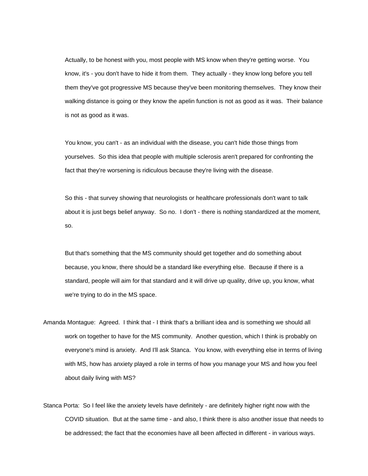Actually, to be honest with you, most people with MS know when they're getting worse. You know, it's - you don't have to hide it from them. They actually - they know long before you tell them they've got progressive MS because they've been monitoring themselves. They know their walking distance is going or they know the apelin function is not as good as it was. Their balance is not as good as it was.

You know, you can't - as an individual with the disease, you can't hide those things from yourselves. So this idea that people with multiple sclerosis aren't prepared for confronting the fact that they're worsening is ridiculous because they're living with the disease.

So this - that survey showing that neurologists or healthcare professionals don't want to talk about it is just begs belief anyway. So no. I don't - there is nothing standardized at the moment, so.

But that's something that the MS community should get together and do something about because, you know, there should be a standard like everything else. Because if there is a standard, people will aim for that standard and it will drive up quality, drive up, you know, what we're trying to do in the MS space.

Amanda Montague: Agreed. I think that - I think that's a brilliant idea and is something we should all work on together to have for the MS community. Another question, which I think is probably on everyone's mind is anxiety. And I'll ask Stanca. You know, with everything else in terms of living with MS, how has anxiety played a role in terms of how you manage your MS and how you feel about daily living with MS?

Stanca Porta: So I feel like the anxiety levels have definitely - are definitely higher right now with the COVID situation. But at the same time - and also, I think there is also another issue that needs to be addressed; the fact that the economies have all been affected in different - in various ways.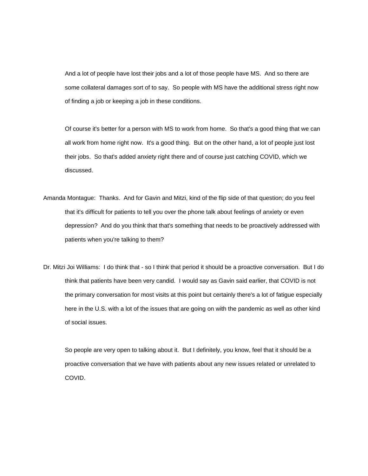And a lot of people have lost their jobs and a lot of those people have MS. And so there are some collateral damages sort of to say. So people with MS have the additional stress right now of finding a job or keeping a job in these conditions.

Of course it's better for a person with MS to work from home. So that's a good thing that we can all work from home right now. It's a good thing. But on the other hand, a lot of people just lost their jobs. So that's added anxiety right there and of course just catching COVID, which we discussed.

- Amanda Montague: Thanks. And for Gavin and Mitzi, kind of the flip side of that question; do you feel that it's difficult for patients to tell you over the phone talk about feelings of anxiety or even depression? And do you think that that's something that needs to be proactively addressed with patients when you're talking to them?
- Dr. Mitzi Joi Williams: I do think that so I think that period it should be a proactive conversation. But I do think that patients have been very candid. I would say as Gavin said earlier, that COVID is not the primary conversation for most visits at this point but certainly there's a lot of fatigue especially here in the U.S. with a lot of the issues that are going on with the pandemic as well as other kind of social issues.

So people are very open to talking about it. But I definitely, you know, feel that it should be a proactive conversation that we have with patients about any new issues related or unrelated to COVID.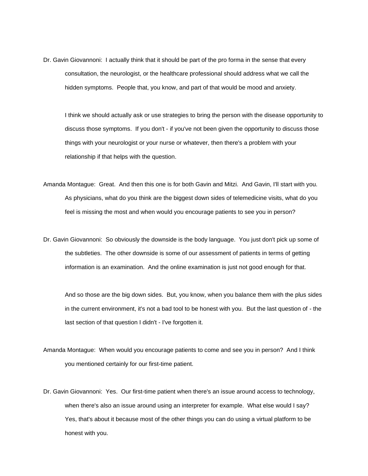Dr. Gavin Giovannoni: I actually think that it should be part of the pro forma in the sense that every consultation, the neurologist, or the healthcare professional should address what we call the hidden symptoms. People that, you know, and part of that would be mood and anxiety.

I think we should actually ask or use strategies to bring the person with the disease opportunity to discuss those symptoms. If you don't - if you've not been given the opportunity to discuss those things with your neurologist or your nurse or whatever, then there's a problem with your relationship if that helps with the question.

- Amanda Montague: Great. And then this one is for both Gavin and Mitzi. And Gavin, I'll start with you. As physicians, what do you think are the biggest down sides of telemedicine visits, what do you feel is missing the most and when would you encourage patients to see you in person?
- Dr. Gavin Giovannoni: So obviously the downside is the body language. You just don't pick up some of the subtleties. The other downside is some of our assessment of patients in terms of getting information is an examination. And the online examination is just not good enough for that.

And so those are the big down sides. But, you know, when you balance them with the plus sides in the current environment, it's not a bad tool to be honest with you. But the last question of - the last section of that question I didn't - I've forgotten it.

- Amanda Montague: When would you encourage patients to come and see you in person? And I think you mentioned certainly for our first-time patient.
- Dr. Gavin Giovannoni: Yes. Our first-time patient when there's an issue around access to technology, when there's also an issue around using an interpreter for example. What else would I say? Yes, that's about it because most of the other things you can do using a virtual platform to be honest with you.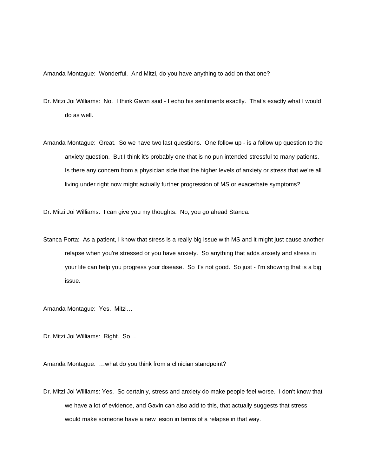Amanda Montague: Wonderful. And Mitzi, do you have anything to add on that one?

- Dr. Mitzi Joi Williams: No. I think Gavin said I echo his sentiments exactly. That's exactly what I would do as well.
- Amanda Montague: Great. So we have two last questions. One follow up is a follow up question to the anxiety question. But I think it's probably one that is no pun intended stressful to many patients. Is there any concern from a physician side that the higher levels of anxiety or stress that we're all living under right now might actually further progression of MS or exacerbate symptoms?

Dr. Mitzi Joi Williams: I can give you my thoughts. No, you go ahead Stanca.

Stanca Porta: As a patient, I know that stress is a really big issue with MS and it might just cause another relapse when you're stressed or you have anxiety. So anything that adds anxiety and stress in your life can help you progress your disease. So it's not good. So just - I'm showing that is a big issue.

Amanda Montague: Yes. Mitzi…

Dr. Mitzi Joi Williams: Right. So…

Amanda Montague: …what do you think from a clinician standpoint?

Dr. Mitzi Joi Williams: Yes. So certainly, stress and anxiety do make people feel worse. I don't know that we have a lot of evidence, and Gavin can also add to this, that actually suggests that stress would make someone have a new lesion in terms of a relapse in that way.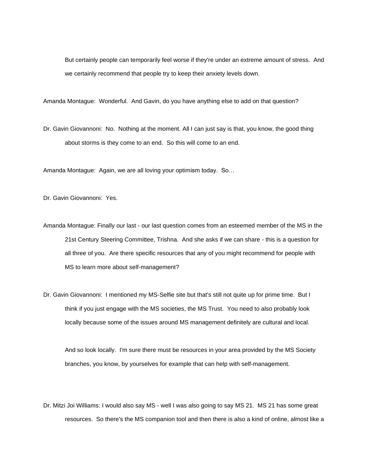But certainly people can temporarily feel worse if they're under an extreme amount of stress. And we certainly recommend that people try to keep their anxiety levels down.

Amanda Montague: Wonderful. And Gavin, do you have anything else to add on that question?

Dr. Gavin Giovannoni: No. Nothing at the moment. All I can just say is that, you know, the good thing about storms is they come to an end. So this will come to an end.

Amanda Montague: Again, we are all loving your optimism today. So…

Dr. Gavin Giovannoni: Yes.

Amanda Montague: Finally our last - our last question comes from an esteemed member of the MS in the 21st Century Steering Committee, Trishna. And she asks if we can share - this is a question for all three of you. Are there specific resources that any of you might recommend for people with MS to learn more about self-management?

Dr. Gavin Giovannoni: I mentioned my MS-Selfie site but that's still not quite up for prime time. But I think if you just engage with the MS societies, the MS Trust. You need to also probably look locally because some of the issues around MS management definitely are cultural and local.

And so look locally. I'm sure there must be resources in your area provided by the MS Society branches, you know, by yourselves for example that can help with self-management.

Dr. Mitzi Joi Williams: I would also say MS - well I was also going to say MS 21. MS 21 has some great resources. So there's the MS companion tool and then there is also a kind of online, almost like a